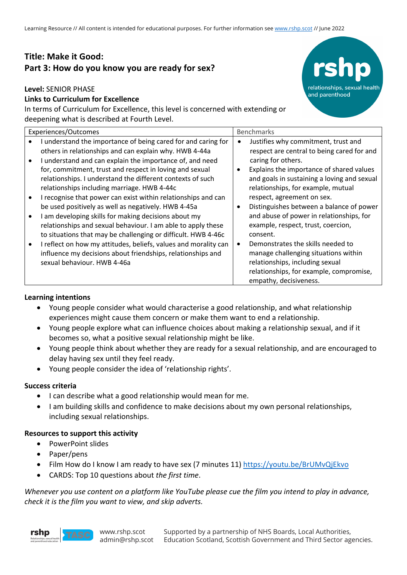# **Title: Make it Good: Part 3: How do you know you are ready for sex?**

### **Level:** SENIOR PHASE

# **Links to Curriculum for Excellence**

In terms of Curriculum for Excellence, this level is concerned with extending or deepening what is described at Fourth Level.

| Experiences/Outcomes |                                                                                                                                                                                                                                                                                                | <b>Benchmarks</b> |                                                                                                                                                                                                           |
|----------------------|------------------------------------------------------------------------------------------------------------------------------------------------------------------------------------------------------------------------------------------------------------------------------------------------|-------------------|-----------------------------------------------------------------------------------------------------------------------------------------------------------------------------------------------------------|
|                      | I understand the importance of being cared for and caring for<br>others in relationships and can explain why. HWB 4-44a                                                                                                                                                                        |                   | Justifies why commitment, trust and<br>respect are central to being cared for and                                                                                                                         |
|                      | I understand and can explain the importance of, and need<br>for, commitment, trust and respect in loving and sexual<br>relationships. I understand the different contexts of such<br>relationships including marriage. HWB 4-44c                                                               |                   | caring for others.<br>Explains the importance of shared values<br>and goals in sustaining a loving and sexual<br>relationships, for example, mutual                                                       |
|                      | I recognise that power can exist within relationships and can<br>be used positively as well as negatively. HWB 4-45a<br>I am developing skills for making decisions about my                                                                                                                   |                   | respect, agreement on sex.<br>Distinguishes between a balance of power<br>and abuse of power in relationships, for                                                                                        |
|                      | relationships and sexual behaviour. I am able to apply these<br>to situations that may be challenging or difficult. HWB 4-46c<br>I reflect on how my attitudes, beliefs, values and morality can<br>influence my decisions about friendships, relationships and<br>sexual behaviour. HWB 4-46a |                   | example, respect, trust, coercion,<br>consent.<br>Demonstrates the skills needed to<br>manage challenging situations within<br>relationships, including sexual<br>relationships, for example, compromise, |
|                      |                                                                                                                                                                                                                                                                                                |                   | empathy, decisiveness.                                                                                                                                                                                    |

relationships, sexual health

and parenthood

### **Learning intentions**

- Young people consider what would characterise a good relationship, and what relationship experiences might cause them concern or make them want to end a relationship.
- Young people explore what can influence choices about making a relationship sexual, and if it becomes so, what a positive sexual relationship might be like.
- Young people think about whether they are ready for a sexual relationship, and are encouraged to delay having sex until they feel ready.
- Young people consider the idea of 'relationship rights'.

# **Success criteria**

- I can describe what a good relationship would mean for me.
- I am building skills and confidence to make decisions about my own personal relationships, including sexual relationships.

# **Resources to support this activity**

- PowerPoint slides
- Paper/pens
- Film How do I know I am ready to have sex (7 minutes 11) https://youtu.be/BrUMvQjEkvo
- CARDS: Top 10 questions about *the first time*.

*Whenever you use content on a platform like YouTube please cue the film you intend to play in advance, check it is the film you want to view, and skip adverts.*

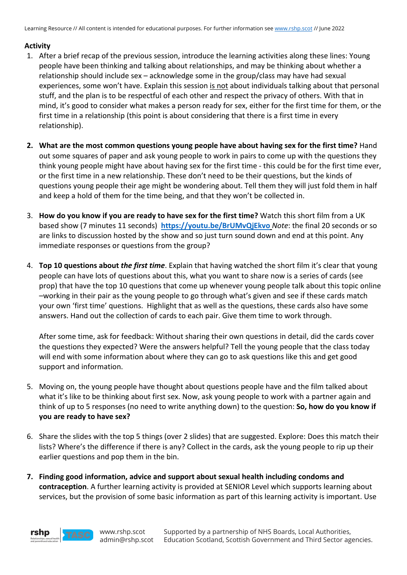# **Activity**

- 1. After a brief recap of the previous session, introduce the learning activities along these lines: Young people have been thinking and talking about relationships, and may be thinking about whether a relationship should include sex – acknowledge some in the group/class may have had sexual experiences, some won't have. Explain this session is not about individuals talking about that personal stuff, and the plan is to be respectful of each other and respect the privacy of others. With that in mind, it's good to consider what makes a person ready for sex, either for the first time for them, or the first time in a relationship (this point is about considering that there is a first time in every relationship).
- **2. What are the most common questions young people have about having sex for the first time?** Hand out some squares of paper and ask young people to work in pairs to come up with the questions they think young people might have about having sex for the first time - this could be for the first time ever, or the first time in a new relationship. These don't need to be their questions, but the kinds of questions young people their age might be wondering about. Tell them they will just fold them in half and keep a hold of them for the time being, and that they won't be collected in.
- 3. **How do you know if you are ready to have sex for the first time?** Watch this short film from a UK based show (7 minutes 11 seconds) **https://youtu.be/BrUMvQjEkvo** *Note*: the final 20 seconds or so are links to discussion hosted by the show and so just turn sound down and end at this point. Any immediate responses or questions from the group?
- 4. **Top 10 questions about** *the first time*. Explain that having watched the short film it's clear that young people can have lots of questions about this, what you want to share now is a series of cards (see prop) that have the top 10 questions that come up whenever young people talk about this topic online –working in their pair as the young people to go through what's given and see if these cards match your own 'first time' questions. Highlight that as well as the questions, these cards also have some answers. Hand out the collection of cards to each pair. Give them time to work through.

After some time, ask for feedback: Without sharing their own questions in detail, did the cards cover the questions they expected? Were the answers helpful? Tell the young people that the class today will end with some information about where they can go to ask questions like this and get good support and information.

- 5. Moving on, the young people have thought about questions people have and the film talked about what it's like to be thinking about first sex. Now, ask young people to work with a partner again and think of up to 5 responses (no need to write anything down) to the question: **So, how do you know if you are ready to have sex?**
- 6. Share the slides with the top 5 things (over 2 slides) that are suggested. Explore: Does this match their lists? Where's the difference if there is any? Collect in the cards, ask the young people to rip up their earlier questions and pop them in the bin.
- **7. Finding good information, advice and support about sexual health including condoms and contraception**. A further learning activity is provided at SENIOR Level which supports learning about services, but the provision of some basic information as part of this learning activity is important. Use